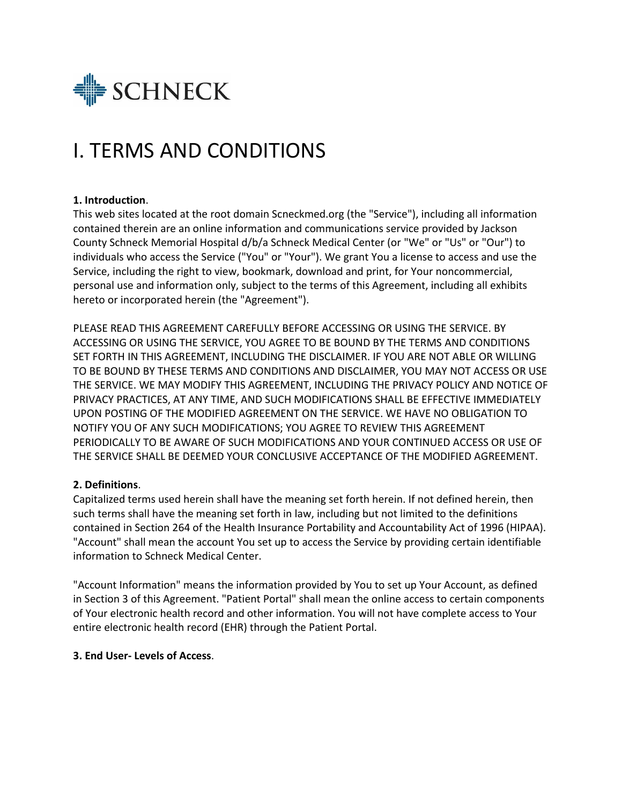

# I. TERMS AND CONDITIONS

## **1. Introduction**.

This web sites located at the root domain Scneckmed.org (the "Service"), including all information contained therein are an online information and communications service provided by Jackson County Schneck Memorial Hospital d/b/a Schneck Medical Center (or "We" or "Us" or "Our") to individuals who access the Service ("You" or "Your"). We grant You a license to access and use the Service, including the right to view, bookmark, download and print, for Your noncommercial, personal use and information only, subject to the terms of this Agreement, including all exhibits hereto or incorporated herein (the "Agreement").

PLEASE READ THIS AGREEMENT CAREFULLY BEFORE ACCESSING OR USING THE SERVICE. BY ACCESSING OR USING THE SERVICE, YOU AGREE TO BE BOUND BY THE TERMS AND CONDITIONS SET FORTH IN THIS AGREEMENT, INCLUDING THE DISCLAIMER. IF YOU ARE NOT ABLE OR WILLING TO BE BOUND BY THESE TERMS AND CONDITIONS AND DISCLAIMER, YOU MAY NOT ACCESS OR USE THE SERVICE. WE MAY MODIFY THIS AGREEMENT, INCLUDING THE PRIVACY POLICY AND NOTICE OF PRIVACY PRACTICES, AT ANY TIME, AND SUCH MODIFICATIONS SHALL BE EFFECTIVE IMMEDIATELY UPON POSTING OF THE MODIFIED AGREEMENT ON THE SERVICE. WE HAVE NO OBLIGATION TO NOTIFY YOU OF ANY SUCH MODIFICATIONS; YOU AGREE TO REVIEW THIS AGREEMENT PERIODICALLY TO BE AWARE OF SUCH MODIFICATIONS AND YOUR CONTINUED ACCESS OR USE OF THE SERVICE SHALL BE DEEMED YOUR CONCLUSIVE ACCEPTANCE OF THE MODIFIED AGREEMENT.

## **2. Definitions**.

Capitalized terms used herein shall have the meaning set forth herein. If not defined herein, then such terms shall have the meaning set forth in law, including but not limited to the definitions contained in Section 264 of the Health Insurance Portability and Accountability Act of 1996 (HIPAA). "Account" shall mean the account You set up to access the Service by providing certain identifiable information to Schneck Medical Center.

"Account Information" means the information provided by You to set up Your Account, as defined in Section 3 of this Agreement. "Patient Portal" shall mean the online access to certain components of Your electronic health record and other information. You will not have complete access to Your entire electronic health record (EHR) through the Patient Portal.

#### **3. End User- Levels of Access**.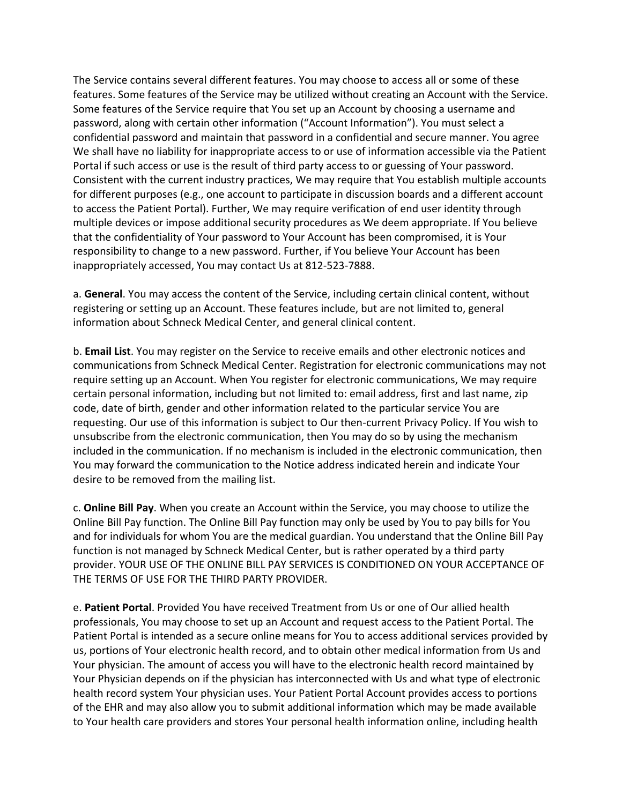The Service contains several different features. You may choose to access all or some of these features. Some features of the Service may be utilized without creating an Account with the Service. Some features of the Service require that You set up an Account by choosing a username and password, along with certain other information ("Account Information"). You must select a confidential password and maintain that password in a confidential and secure manner. You agree We shall have no liability for inappropriate access to or use of information accessible via the Patient Portal if such access or use is the result of third party access to or guessing of Your password. Consistent with the current industry practices, We may require that You establish multiple accounts for different purposes (e.g., one account to participate in discussion boards and a different account to access the Patient Portal). Further, We may require verification of end user identity through multiple devices or impose additional security procedures as We deem appropriate. If You believe that the confidentiality of Your password to Your Account has been compromised, it is Your responsibility to change to a new password. Further, if You believe Your Account has been inappropriately accessed, You may contact Us at 812-523-7888.

a. **General**. You may access the content of the Service, including certain clinical content, without registering or setting up an Account. These features include, but are not limited to, general information about Schneck Medical Center, and general clinical content.

b. **Email List**. You may register on the Service to receive emails and other electronic notices and communications from Schneck Medical Center. Registration for electronic communications may not require setting up an Account. When You register for electronic communications, We may require certain personal information, including but not limited to: email address, first and last name, zip code, date of birth, gender and other information related to the particular service You are requesting. Our use of this information is subject to Our then-current Privacy Policy. If You wish to unsubscribe from the electronic communication, then You may do so by using the mechanism included in the communication. If no mechanism is included in the electronic communication, then You may forward the communication to the Notice address indicated herein and indicate Your desire to be removed from the mailing list.

c. **Online Bill Pay**. When you create an Account within the Service, you may choose to utilize the Online Bill Pay function. The Online Bill Pay function may only be used by You to pay bills for You and for individuals for whom You are the medical guardian. You understand that the Online Bill Pay function is not managed by Schneck Medical Center, but is rather operated by a third party provider. YOUR USE OF THE ONLINE BILL PAY SERVICES IS CONDITIONED ON YOUR ACCEPTANCE OF THE TERMS OF USE FOR THE THIRD PARTY PROVIDER.

e. **Patient Portal**. Provided You have received Treatment from Us or one of Our allied health professionals, You may choose to set up an Account and request access to the Patient Portal. The Patient Portal is intended as a secure online means for You to access additional services provided by us, portions of Your electronic health record, and to obtain other medical information from Us and Your physician. The amount of access you will have to the electronic health record maintained by Your Physician depends on if the physician has interconnected with Us and what type of electronic health record system Your physician uses. Your Patient Portal Account provides access to portions of the EHR and may also allow you to submit additional information which may be made available to Your health care providers and stores Your personal health information online, including health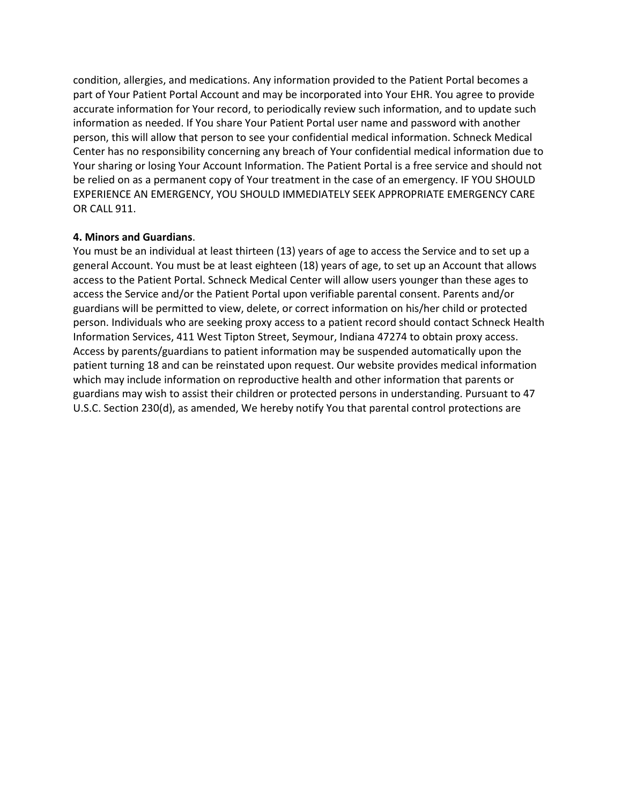condition, allergies, and medications. Any information provided to the Patient Portal becomes a part of Your Patient Portal Account and may be incorporated into Your EHR. You agree to provide accurate information for Your record, to periodically review such information, and to update such information as needed. If You share Your Patient Portal user name and password with another person, this will allow that person to see your confidential medical information. Schneck Medical Center has no responsibility concerning any breach of Your confidential medical information due to Your sharing or losing Your Account Information. The Patient Portal is a free service and should not be relied on as a permanent copy of Your treatment in the case of an emergency. IF YOU SHOULD EXPERIENCE AN EMERGENCY, YOU SHOULD IMMEDIATELY SEEK APPROPRIATE EMERGENCY CARE OR CALL 911.

## **4. Minors and Guardians**.

You must be an individual at least thirteen (13) years of age to access the Service and to set up a general Account. You must be at least eighteen (18) years of age, to set up an Account that allows access to the Patient Portal. Schneck Medical Center will allow users younger than these ages to access the Service and/or the Patient Portal upon verifiable parental consent. Parents and/or guardians will be permitted to view, delete, or correct information on his/her child or protected person. Individuals who are seeking proxy access to a patient record should contact Schneck Health Information Services, 411 West Tipton Street, Seymour, Indiana 47274 to obtain proxy access. Access by parents/guardians to patient information may be suspended automatically upon the patient turning 18 and can be reinstated upon request. Our website provides medical information which may include information on reproductive health and other information that parents or guardians may wish to assist their children or protected persons in understanding. Pursuant to 47 U.S.C. Section 230(d), as amended, We hereby notify You that parental control protections are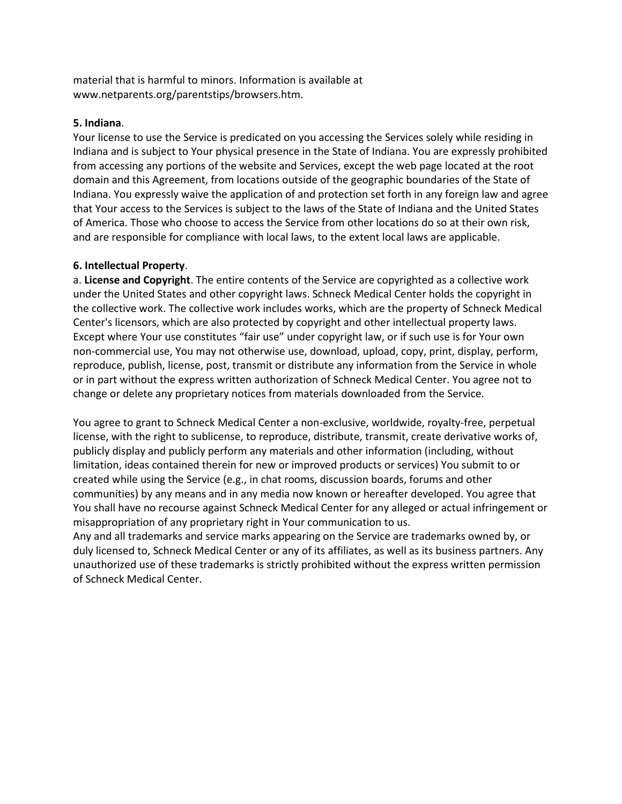material that is harmful to minors. Information is available at www.netparents.org/parentstips/browsers.htm.

### **5. Indiana**.

Your license to use the Service is predicated on you accessing the Services solely while residing in Indiana and is subject to Your physical presence in the State of Indiana. You are expressly prohibited from accessing any portions of the website and Services, except the web page located at the root domain and this Agreement, from locations outside of the geographic boundaries of the State of Indiana. You expressly waive the application of and protection set forth in any foreign law and agree that Your access to the Services is subject to the laws of the State of Indiana and the United States of America. Those who choose to access the Service from other locations do so at their own risk, and are responsible for compliance with local laws, to the extent local laws are applicable.

#### **6. Intellectual Property**.

a. **License and Copyright**. The entire contents of the Service are copyrighted as a collective work under the United States and other copyright laws. Schneck Medical Center holds the copyright in the collective work. The collective work includes works, which are the property of Schneck Medical Center's licensors, which are also protected by copyright and other intellectual property laws. Except where Your use constitutes "fair use" under copyright law, or if such use is for Your own non-commercial use, You may not otherwise use, download, upload, copy, print, display, perform, reproduce, publish, license, post, transmit or distribute any information from the Service in whole or in part without the express written authorization of Schneck Medical Center. You agree not to change or delete any proprietary notices from materials downloaded from the Service.

You agree to grant to Schneck Medical Center a non-exclusive, worldwide, royalty-free, perpetual license, with the right to sublicense, to reproduce, distribute, transmit, create derivative works of, publicly display and publicly perform any materials and other information (including, without limitation, ideas contained therein for new or improved products or services) You submit to or created while using the Service (e.g., in chat rooms, discussion boards, forums and other communities) by any means and in any media now known or hereafter developed. You agree that You shall have no recourse against Schneck Medical Center for any alleged or actual infringement or misappropriation of any proprietary right in Your communication to us.

Any and all trademarks and service marks appearing on the Service are trademarks owned by, or duly licensed to, Schneck Medical Center or any of its affiliates, as well as its business partners. Any unauthorized use of these trademarks is strictly prohibited without the express written permission of Schneck Medical Center.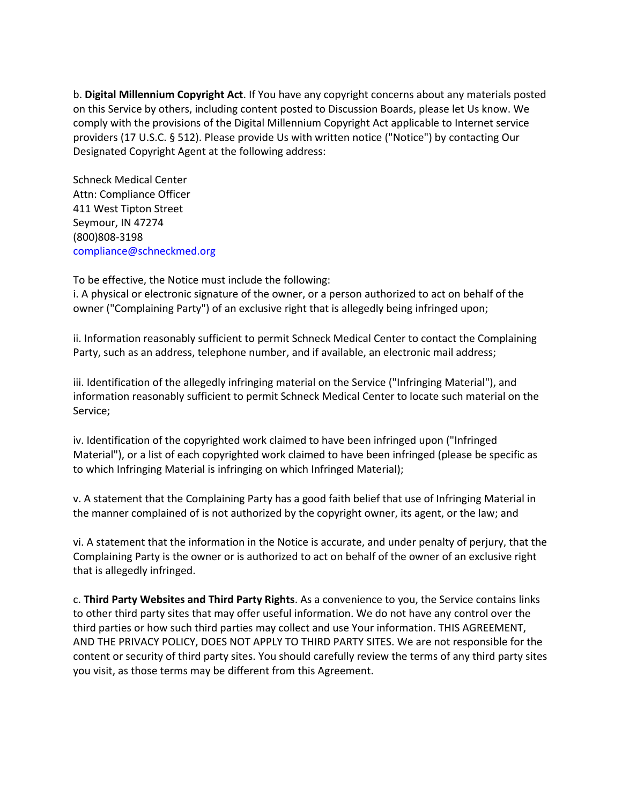b. **Digital Millennium Copyright Act**. If You have any copyright concerns about any materials posted on this Service by others, including content posted to Discussion Boards, please let Us know. We comply with the provisions of the Digital Millennium Copyright Act applicable to Internet service providers (17 U.S.C. § 512). Please provide Us with written notice ("Notice") by contacting Our Designated Copyright Agent at the following address:

Schneck Medical Center Attn: Compliance Officer 411 West Tipton Street Seymour, IN 47274 (800)808-3198 compliance@schneckmed.org

To be effective, the Notice must include the following:

i. A physical or electronic signature of the owner, or a person authorized to act on behalf of the owner ("Complaining Party") of an exclusive right that is allegedly being infringed upon;

ii. Information reasonably sufficient to permit Schneck Medical Center to contact the Complaining Party, such as an address, telephone number, and if available, an electronic mail address;

iii. Identification of the allegedly infringing material on the Service ("Infringing Material"), and information reasonably sufficient to permit Schneck Medical Center to locate such material on the Service;

iv. Identification of the copyrighted work claimed to have been infringed upon ("Infringed Material"), or a list of each copyrighted work claimed to have been infringed (please be specific as to which Infringing Material is infringing on which Infringed Material);

v. A statement that the Complaining Party has a good faith belief that use of Infringing Material in the manner complained of is not authorized by the copyright owner, its agent, or the law; and

vi. A statement that the information in the Notice is accurate, and under penalty of perjury, that the Complaining Party is the owner or is authorized to act on behalf of the owner of an exclusive right that is allegedly infringed.

c. **Third Party Websites and Third Party Rights**. As a convenience to you, the Service contains links to other third party sites that may offer useful information. We do not have any control over the third parties or how such third parties may collect and use Your information. THIS AGREEMENT, AND THE PRIVACY POLICY, DOES NOT APPLY TO THIRD PARTY SITES. We are not responsible for the content or security of third party sites. You should carefully review the terms of any third party sites you visit, as those terms may be different from this Agreement.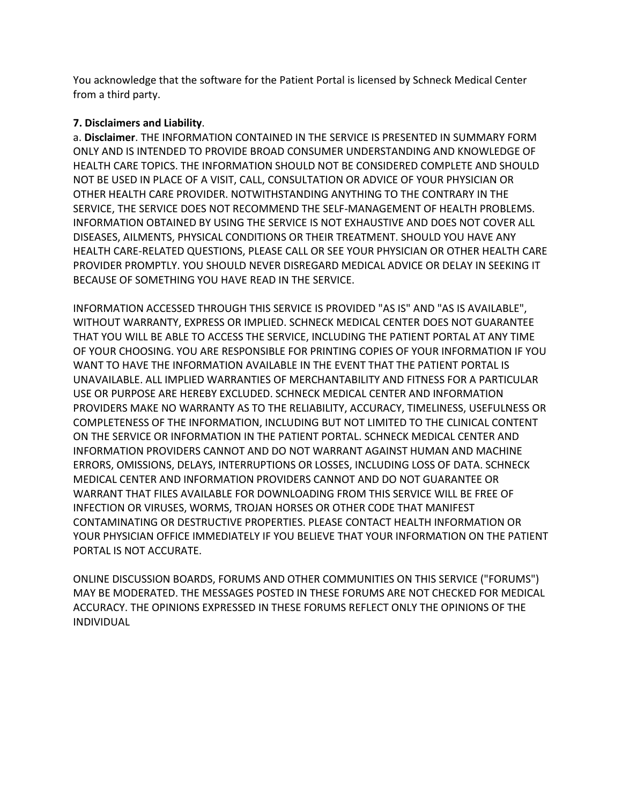You acknowledge that the software for the Patient Portal is licensed by Schneck Medical Center from a third party.

## **7. Disclaimers and Liability**.

a. **Disclaimer**. THE INFORMATION CONTAINED IN THE SERVICE IS PRESENTED IN SUMMARY FORM ONLY AND IS INTENDED TO PROVIDE BROAD CONSUMER UNDERSTANDING AND KNOWLEDGE OF HEALTH CARE TOPICS. THE INFORMATION SHOULD NOT BE CONSIDERED COMPLETE AND SHOULD NOT BE USED IN PLACE OF A VISIT, CALL, CONSULTATION OR ADVICE OF YOUR PHYSICIAN OR OTHER HEALTH CARE PROVIDER. NOTWITHSTANDING ANYTHING TO THE CONTRARY IN THE SERVICE, THE SERVICE DOES NOT RECOMMEND THE SELF-MANAGEMENT OF HEALTH PROBLEMS. INFORMATION OBTAINED BY USING THE SERVICE IS NOT EXHAUSTIVE AND DOES NOT COVER ALL DISEASES, AILMENTS, PHYSICAL CONDITIONS OR THEIR TREATMENT. SHOULD YOU HAVE ANY HEALTH CARE-RELATED QUESTIONS, PLEASE CALL OR SEE YOUR PHYSICIAN OR OTHER HEALTH CARE PROVIDER PROMPTLY. YOU SHOULD NEVER DISREGARD MEDICAL ADVICE OR DELAY IN SEEKING IT BECAUSE OF SOMETHING YOU HAVE READ IN THE SERVICE.

INFORMATION ACCESSED THROUGH THIS SERVICE IS PROVIDED "AS IS" AND "AS IS AVAILABLE", WITHOUT WARRANTY, EXPRESS OR IMPLIED. SCHNECK MEDICAL CENTER DOES NOT GUARANTEE THAT YOU WILL BE ABLE TO ACCESS THE SERVICE, INCLUDING THE PATIENT PORTAL AT ANY TIME OF YOUR CHOOSING. YOU ARE RESPONSIBLE FOR PRINTING COPIES OF YOUR INFORMATION IF YOU WANT TO HAVE THE INFORMATION AVAILABLE IN THE EVENT THAT THE PATIENT PORTAL IS UNAVAILABLE. ALL IMPLIED WARRANTIES OF MERCHANTABILITY AND FITNESS FOR A PARTICULAR USE OR PURPOSE ARE HEREBY EXCLUDED. SCHNECK MEDICAL CENTER AND INFORMATION PROVIDERS MAKE NO WARRANTY AS TO THE RELIABILITY, ACCURACY, TIMELINESS, USEFULNESS OR COMPLETENESS OF THE INFORMATION, INCLUDING BUT NOT LIMITED TO THE CLINICAL CONTENT ON THE SERVICE OR INFORMATION IN THE PATIENT PORTAL. SCHNECK MEDICAL CENTER AND INFORMATION PROVIDERS CANNOT AND DO NOT WARRANT AGAINST HUMAN AND MACHINE ERRORS, OMISSIONS, DELAYS, INTERRUPTIONS OR LOSSES, INCLUDING LOSS OF DATA. SCHNECK MEDICAL CENTER AND INFORMATION PROVIDERS CANNOT AND DO NOT GUARANTEE OR WARRANT THAT FILES AVAILABLE FOR DOWNLOADING FROM THIS SERVICE WILL BE FREE OF INFECTION OR VIRUSES, WORMS, TROJAN HORSES OR OTHER CODE THAT MANIFEST CONTAMINATING OR DESTRUCTIVE PROPERTIES. PLEASE CONTACT HEALTH INFORMATION OR YOUR PHYSICIAN OFFICE IMMEDIATELY IF YOU BELIEVE THAT YOUR INFORMATION ON THE PATIENT PORTAL IS NOT ACCURATE.

ONLINE DISCUSSION BOARDS, FORUMS AND OTHER COMMUNITIES ON THIS SERVICE ("FORUMS") MAY BE MODERATED. THE MESSAGES POSTED IN THESE FORUMS ARE NOT CHECKED FOR MEDICAL ACCURACY. THE OPINIONS EXPRESSED IN THESE FORUMS REFLECT ONLY THE OPINIONS OF THE INDIVIDUAL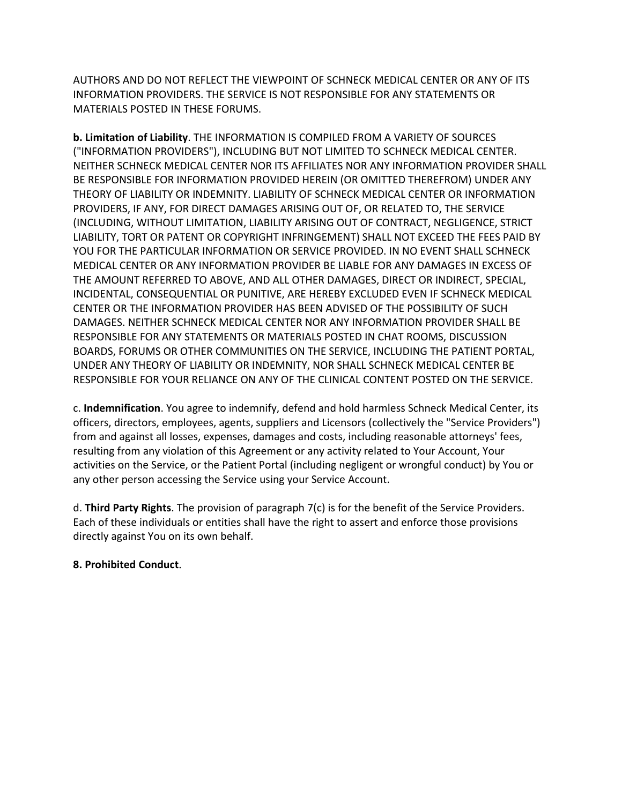AUTHORS AND DO NOT REFLECT THE VIEWPOINT OF SCHNECK MEDICAL CENTER OR ANY OF ITS INFORMATION PROVIDERS. THE SERVICE IS NOT RESPONSIBLE FOR ANY STATEMENTS OR MATERIALS POSTED IN THESE FORUMS.

**b. Limitation of Liability**. THE INFORMATION IS COMPILED FROM A VARIETY OF SOURCES ("INFORMATION PROVIDERS"), INCLUDING BUT NOT LIMITED TO SCHNECK MEDICAL CENTER. NEITHER SCHNECK MEDICAL CENTER NOR ITS AFFILIATES NOR ANY INFORMATION PROVIDER SHALL BE RESPONSIBLE FOR INFORMATION PROVIDED HEREIN (OR OMITTED THEREFROM) UNDER ANY THEORY OF LIABILITY OR INDEMNITY. LIABILITY OF SCHNECK MEDICAL CENTER OR INFORMATION PROVIDERS, IF ANY, FOR DIRECT DAMAGES ARISING OUT OF, OR RELATED TO, THE SERVICE (INCLUDING, WITHOUT LIMITATION, LIABILITY ARISING OUT OF CONTRACT, NEGLIGENCE, STRICT LIABILITY, TORT OR PATENT OR COPYRIGHT INFRINGEMENT) SHALL NOT EXCEED THE FEES PAID BY YOU FOR THE PARTICULAR INFORMATION OR SERVICE PROVIDED. IN NO EVENT SHALL SCHNECK MEDICAL CENTER OR ANY INFORMATION PROVIDER BE LIABLE FOR ANY DAMAGES IN EXCESS OF THE AMOUNT REFERRED TO ABOVE, AND ALL OTHER DAMAGES, DIRECT OR INDIRECT, SPECIAL, INCIDENTAL, CONSEQUENTIAL OR PUNITIVE, ARE HEREBY EXCLUDED EVEN IF SCHNECK MEDICAL CENTER OR THE INFORMATION PROVIDER HAS BEEN ADVISED OF THE POSSIBILITY OF SUCH DAMAGES. NEITHER SCHNECK MEDICAL CENTER NOR ANY INFORMATION PROVIDER SHALL BE RESPONSIBLE FOR ANY STATEMENTS OR MATERIALS POSTED IN CHAT ROOMS, DISCUSSION BOARDS, FORUMS OR OTHER COMMUNITIES ON THE SERVICE, INCLUDING THE PATIENT PORTAL, UNDER ANY THEORY OF LIABILITY OR INDEMNITY, NOR SHALL SCHNECK MEDICAL CENTER BE RESPONSIBLE FOR YOUR RELIANCE ON ANY OF THE CLINICAL CONTENT POSTED ON THE SERVICE.

c. **Indemnification**. You agree to indemnify, defend and hold harmless Schneck Medical Center, its officers, directors, employees, agents, suppliers and Licensors (collectively the "Service Providers") from and against all losses, expenses, damages and costs, including reasonable attorneys' fees, resulting from any violation of this Agreement or any activity related to Your Account, Your activities on the Service, or the Patient Portal (including negligent or wrongful conduct) by You or any other person accessing the Service using your Service Account.

d. **Third Party Rights**. The provision of paragraph 7(c) is for the benefit of the Service Providers. Each of these individuals or entities shall have the right to assert and enforce those provisions directly against You on its own behalf.

## **8. Prohibited Conduct**.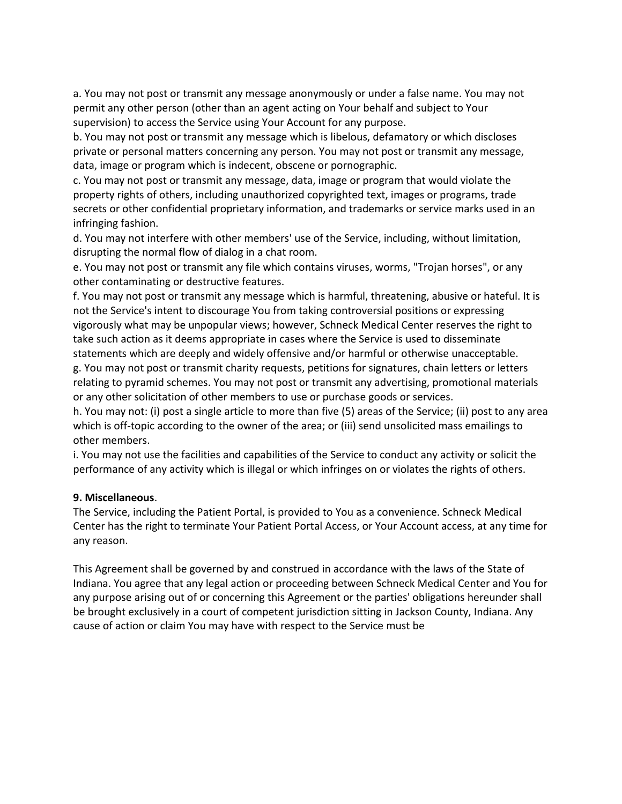a. You may not post or transmit any message anonymously or under a false name. You may not permit any other person (other than an agent acting on Your behalf and subject to Your supervision) to access the Service using Your Account for any purpose.

b. You may not post or transmit any message which is libelous, defamatory or which discloses private or personal matters concerning any person. You may not post or transmit any message, data, image or program which is indecent, obscene or pornographic.

c. You may not post or transmit any message, data, image or program that would violate the property rights of others, including unauthorized copyrighted text, images or programs, trade secrets or other confidential proprietary information, and trademarks or service marks used in an infringing fashion.

d. You may not interfere with other members' use of the Service, including, without limitation, disrupting the normal flow of dialog in a chat room.

e. You may not post or transmit any file which contains viruses, worms, "Trojan horses", or any other contaminating or destructive features.

f. You may not post or transmit any message which is harmful, threatening, abusive or hateful. It is not the Service's intent to discourage You from taking controversial positions or expressing vigorously what may be unpopular views; however, Schneck Medical Center reserves the right to take such action as it deems appropriate in cases where the Service is used to disseminate statements which are deeply and widely offensive and/or harmful or otherwise unacceptable.

g. You may not post or transmit charity requests, petitions for signatures, chain letters or letters relating to pyramid schemes. You may not post or transmit any advertising, promotional materials or any other solicitation of other members to use or purchase goods or services.

h. You may not: (i) post a single article to more than five (5) areas of the Service; (ii) post to any area which is off-topic according to the owner of the area; or (iii) send unsolicited mass emailings to other members.

i. You may not use the facilities and capabilities of the Service to conduct any activity or solicit the performance of any activity which is illegal or which infringes on or violates the rights of others.

#### **9. Miscellaneous**.

The Service, including the Patient Portal, is provided to You as a convenience. Schneck Medical Center has the right to terminate Your Patient Portal Access, or Your Account access, at any time for any reason.

This Agreement shall be governed by and construed in accordance with the laws of the State of Indiana. You agree that any legal action or proceeding between Schneck Medical Center and You for any purpose arising out of or concerning this Agreement or the parties' obligations hereunder shall be brought exclusively in a court of competent jurisdiction sitting in Jackson County, Indiana. Any cause of action or claim You may have with respect to the Service must be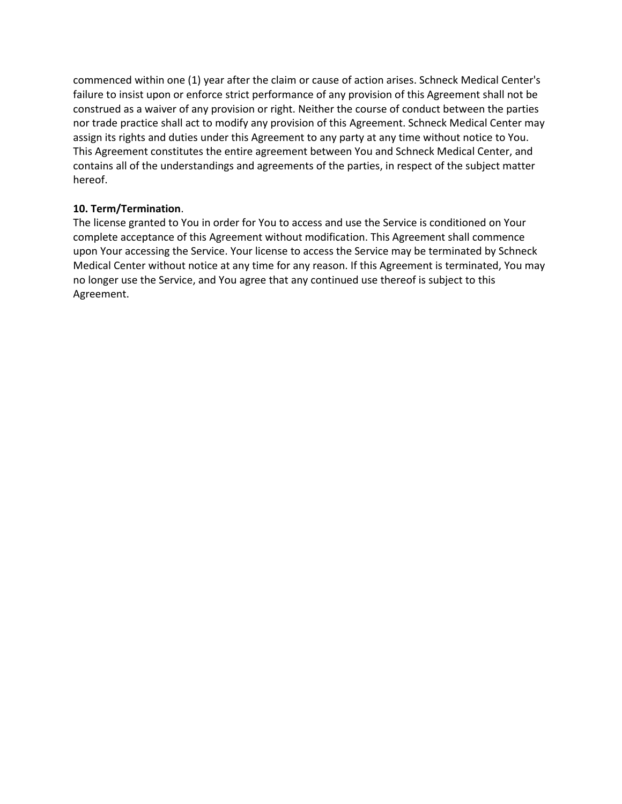commenced within one (1) year after the claim or cause of action arises. Schneck Medical Center's failure to insist upon or enforce strict performance of any provision of this Agreement shall not be construed as a waiver of any provision or right. Neither the course of conduct between the parties nor trade practice shall act to modify any provision of this Agreement. Schneck Medical Center may assign its rights and duties under this Agreement to any party at any time without notice to You. This Agreement constitutes the entire agreement between You and Schneck Medical Center, and contains all of the understandings and agreements of the parties, in respect of the subject matter hereof.

## **10. Term/Termination**.

The license granted to You in order for You to access and use the Service is conditioned on Your complete acceptance of this Agreement without modification. This Agreement shall commence upon Your accessing the Service. Your license to access the Service may be terminated by Schneck Medical Center without notice at any time for any reason. If this Agreement is terminated, You may no longer use the Service, and You agree that any continued use thereof is subject to this Agreement.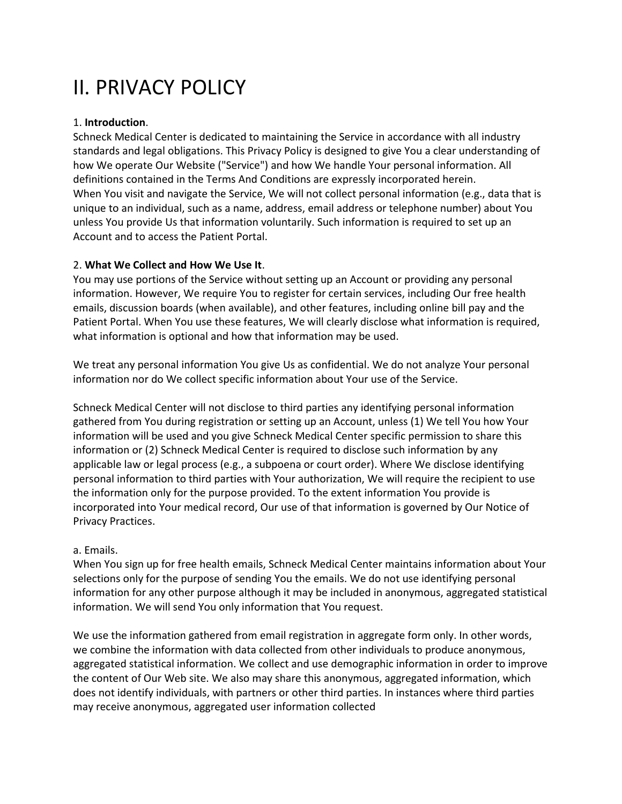# II. PRIVACY POLICY

## 1. **Introduction**.

Schneck Medical Center is dedicated to maintaining the Service in accordance with all industry standards and legal obligations. This Privacy Policy is designed to give You a clear understanding of how We operate Our Website ("Service") and how We handle Your personal information. All definitions contained in the Terms And Conditions are expressly incorporated herein. When You visit and navigate the Service, We will not collect personal information (e.g., data that is unique to an individual, such as a name, address, email address or telephone number) about You unless You provide Us that information voluntarily. Such information is required to set up an Account and to access the Patient Portal.

## 2. **What We Collect and How We Use It**.

You may use portions of the Service without setting up an Account or providing any personal information. However, We require You to register for certain services, including Our free health emails, discussion boards (when available), and other features, including online bill pay and the Patient Portal. When You use these features, We will clearly disclose what information is required, what information is optional and how that information may be used.

We treat any personal information You give Us as confidential. We do not analyze Your personal information nor do We collect specific information about Your use of the Service.

Schneck Medical Center will not disclose to third parties any identifying personal information gathered from You during registration or setting up an Account, unless (1) We tell You how Your information will be used and you give Schneck Medical Center specific permission to share this information or (2) Schneck Medical Center is required to disclose such information by any applicable law or legal process (e.g., a subpoena or court order). Where We disclose identifying personal information to third parties with Your authorization, We will require the recipient to use the information only for the purpose provided. To the extent information You provide is incorporated into Your medical record, Our use of that information is governed by Our Notice of Privacy Practices.

# a. Emails.

When You sign up for free health emails, Schneck Medical Center maintains information about Your selections only for the purpose of sending You the emails. We do not use identifying personal information for any other purpose although it may be included in anonymous, aggregated statistical information. We will send You only information that You request.

We use the information gathered from email registration in aggregate form only. In other words, we combine the information with data collected from other individuals to produce anonymous, aggregated statistical information. We collect and use demographic information in order to improve the content of Our Web site. We also may share this anonymous, aggregated information, which does not identify individuals, with partners or other third parties. In instances where third parties may receive anonymous, aggregated user information collected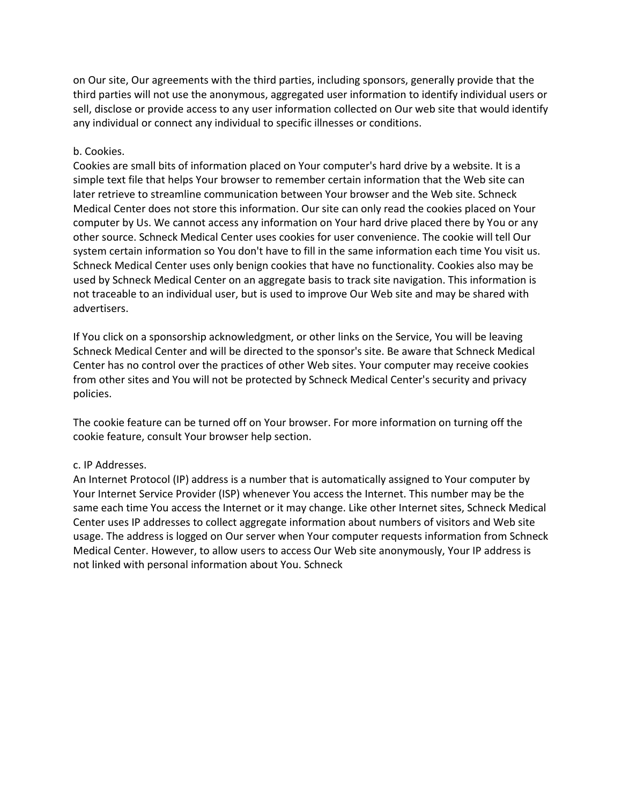on Our site, Our agreements with the third parties, including sponsors, generally provide that the third parties will not use the anonymous, aggregated user information to identify individual users or sell, disclose or provide access to any user information collected on Our web site that would identify any individual or connect any individual to specific illnesses or conditions.

## b. Cookies.

Cookies are small bits of information placed on Your computer's hard drive by a website. It is a simple text file that helps Your browser to remember certain information that the Web site can later retrieve to streamline communication between Your browser and the Web site. Schneck Medical Center does not store this information. Our site can only read the cookies placed on Your computer by Us. We cannot access any information on Your hard drive placed there by You or any other source. Schneck Medical Center uses cookies for user convenience. The cookie will tell Our system certain information so You don't have to fill in the same information each time You visit us. Schneck Medical Center uses only benign cookies that have no functionality. Cookies also may be used by Schneck Medical Center on an aggregate basis to track site navigation. This information is not traceable to an individual user, but is used to improve Our Web site and may be shared with advertisers.

If You click on a sponsorship acknowledgment, or other links on the Service, You will be leaving Schneck Medical Center and will be directed to the sponsor's site. Be aware that Schneck Medical Center has no control over the practices of other Web sites. Your computer may receive cookies from other sites and You will not be protected by Schneck Medical Center's security and privacy policies.

The cookie feature can be turned off on Your browser. For more information on turning off the cookie feature, consult Your browser help section.

#### c. IP Addresses.

An Internet Protocol (IP) address is a number that is automatically assigned to Your computer by Your Internet Service Provider (ISP) whenever You access the Internet. This number may be the same each time You access the Internet or it may change. Like other Internet sites, Schneck Medical Center uses IP addresses to collect aggregate information about numbers of visitors and Web site usage. The address is logged on Our server when Your computer requests information from Schneck Medical Center. However, to allow users to access Our Web site anonymously, Your IP address is not linked with personal information about You. Schneck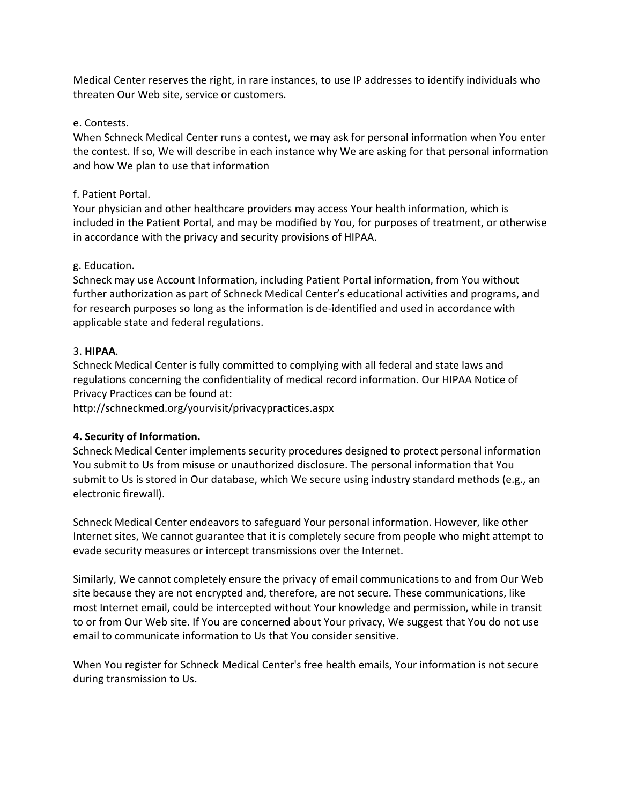Medical Center reserves the right, in rare instances, to use IP addresses to identify individuals who threaten Our Web site, service or customers.

## e. Contests.

When Schneck Medical Center runs a contest, we may ask for personal information when You enter the contest. If so, We will describe in each instance why We are asking for that personal information and how We plan to use that information

## f. Patient Portal.

Your physician and other healthcare providers may access Your health information, which is included in the Patient Portal, and may be modified by You, for purposes of treatment, or otherwise in accordance with the privacy and security provisions of HIPAA.

## g. Education.

Schneck may use Account Information, including Patient Portal information, from You without further authorization as part of Schneck Medical Center's educational activities and programs, and for research purposes so long as the information is de-identified and used in accordance with applicable state and federal regulations.

## 3. **HIPAA**.

Schneck Medical Center is fully committed to complying with all federal and state laws and regulations concerning the confidentiality of medical record information. Our HIPAA Notice of Privacy Practices can be found at:

http://schneckmed.org/yourvisit/privacypractices.aspx

# **4. Security of Information.**

Schneck Medical Center implements security procedures designed to protect personal information You submit to Us from misuse or unauthorized disclosure. The personal information that You submit to Us is stored in Our database, which We secure using industry standard methods (e.g., an electronic firewall).

Schneck Medical Center endeavors to safeguard Your personal information. However, like other Internet sites, We cannot guarantee that it is completely secure from people who might attempt to evade security measures or intercept transmissions over the Internet.

Similarly, We cannot completely ensure the privacy of email communications to and from Our Web site because they are not encrypted and, therefore, are not secure. These communications, like most Internet email, could be intercepted without Your knowledge and permission, while in transit to or from Our Web site. If You are concerned about Your privacy, We suggest that You do not use email to communicate information to Us that You consider sensitive.

When You register for Schneck Medical Center's free health emails, Your information is not secure during transmission to Us.